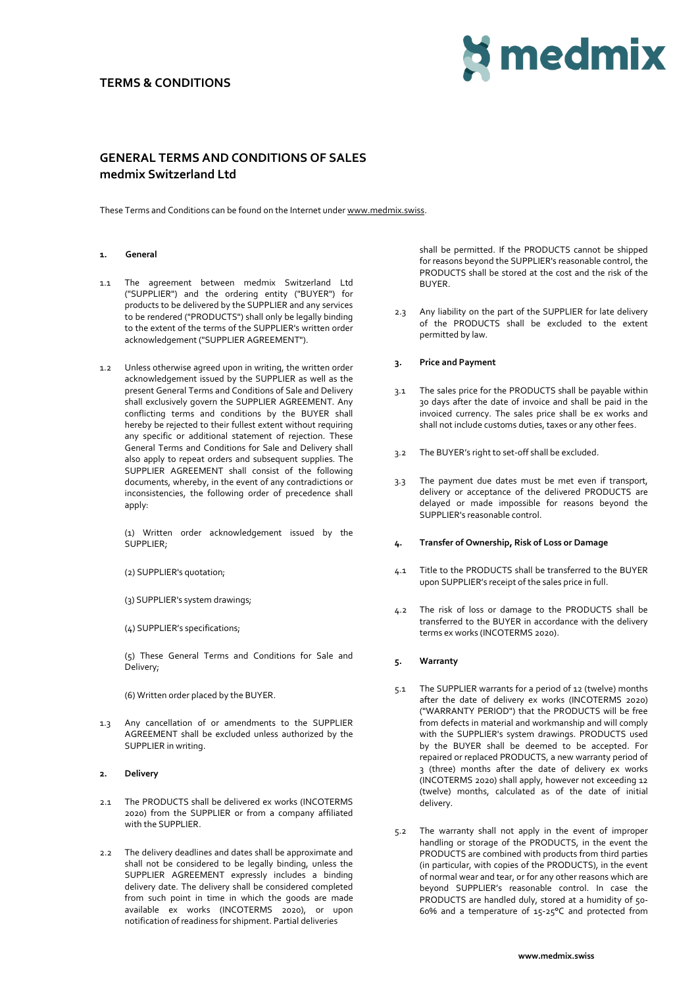## **TERMS & CONDITIONS**



# **GENERAL TERMS AND CONDITIONS OF SALES medmix Switzerland Ltd**

These Terms and Conditions can be found on the Internet under [www.medmix.swiss.](http://www.medmix.swiss/)

#### **1. General**

- 1.1 The agreement between medmix Switzerland Ltd ("SUPPLIER") and the ordering entity ("BUYER") for products to be delivered by the SUPPLIER and any services to be rendered ("PRODUCTS") shall only be legally binding to the extent of the terms of the SUPPLIER's written order acknowledgement ("SUPPLIER AGREEMENT").
- 1.2 Unless otherwise agreed upon in writing, the written order acknowledgement issued by the SUPPLIER as well as the present General Terms and Conditions of Sale and Delivery shall exclusively govern the SUPPLIER AGREEMENT. Any conflicting terms and conditions by the BUYER shall hereby be rejected to their fullest extent without requiring any specific or additional statement of rejection. These General Terms and Conditions for Sale and Delivery shall also apply to repeat orders and subsequent supplies. The SUPPLIER AGREEMENT shall consist of the following documents, whereby, in the event of any contradictions or inconsistencies, the following order of precedence shall apply:

(1) Written order acknowledgement issued by the SUPPLIER;

(2) SUPPLIER's quotation;

- (3) SUPPLIER's system drawings;
- (4) SUPPLIER's specifications;

(5) These General Terms and Conditions for Sale and Delivery;

(6) Written order placed by the BUYER.

1.3 Any cancellation of or amendments to the SUPPLIER AGREEMENT shall be excluded unless authorized by the SUPPLIER in writing.

#### **2. Delivery**

- 2.1 The PRODUCTS shall be delivered ex works (INCOTERMS 2020) from the SUPPLIER or from a company affiliated with the SUPPLIER.
- 2.2 The delivery deadlines and dates shall be approximate and shall not be considered to be legally binding, unless the SUPPLIER AGREEMENT expressly includes a binding delivery date. The delivery shall be considered completed from such point in time in which the goods are made available ex works (INCOTERMS 2020), or upon notification of readiness for shipment. Partial deliveries

shall be permitted. If the PRODUCTS cannot be shipped for reasons beyond the SUPPLIER's reasonable control, the PRODUCTS shall be stored at the cost and the risk of the BUYER.

2.3 Any liability on the part of the SUPPLIER for late delivery of the PRODUCTS shall be excluded to the extent permitted by law.

#### **3. Price and Payment**

- 3.1 The sales price for the PRODUCTS shall be payable within 30 days after the date of invoice and shall be paid in the invoiced currency. The sales price shall be ex works and shall not include customs duties, taxes or any other fees.
- 3.2 The BUYER's right to set-off shall be excluded.
- 3.3 The payment due dates must be met even if transport, delivery or acceptance of the delivered PRODUCTS are delayed or made impossible for reasons beyond the SUPPLIER's reasonable control.

#### **4. Transfer of Ownership, Risk of Loss or Damage**

- 4.1 Title to the PRODUCTS shall be transferred to the BUYER upon SUPPLIER's receipt of the sales price in full.
- 4.2 The risk of loss or damage to the PRODUCTS shall be transferred to the BUYER in accordance with the delivery terms ex works (INCOTERMS 2020).

#### **5. Warranty**

- 5.1 The SUPPLIER warrants for a period of 12 (twelve) months after the date of delivery ex works (INCOTERMS 2020) ("WARRANTY PERIOD") that the PRODUCTS will be free from defects in material and workmanship and will comply with the SUPPLIER's system drawings. PRODUCTS used by the BUYER shall be deemed to be accepted. For repaired or replaced PRODUCTS, a new warranty period of 3 (three) months after the date of delivery ex works (INCOTERMS 2020) shall apply, however not exceeding 12 (twelve) months, calculated as of the date of initial delivery.
- 5.2 The warranty shall not apply in the event of improper handling or storage of the PRODUCTS, in the event the PRODUCTS are combined with products from third parties (in particular, with copies of the PRODUCTS), in the event of normal wear and tear, or for any other reasons which are beyond SUPPLIER's reasonable control. In case the PRODUCTS are handled duly, stored at a humidity of 50-60% and a temperature of 15-25°C and protected from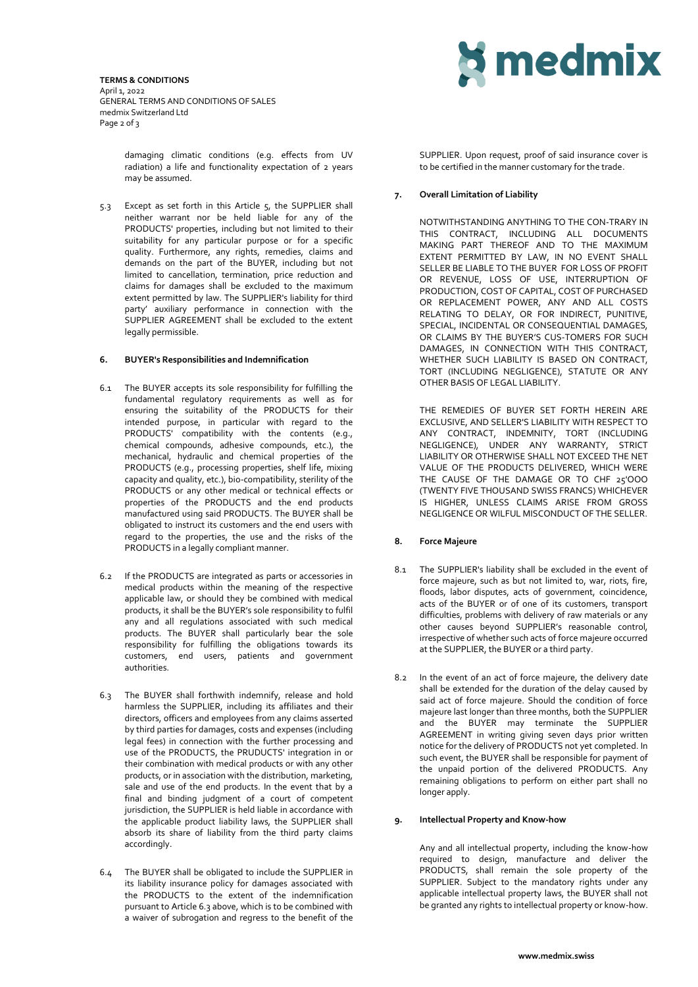**TERMS & CONDITIONS** April 1, 2022 GENERAL TERMS AND CONDITIONS OF SALES medmix Switzerland Ltd Page 2 of 3

> damaging climatic conditions (e.g. effects from UV radiation) a life and functionality expectation of 2 years may be assumed.

5.3 Except as set forth in this Article 5, the SUPPLIER shall neither warrant nor be held liable for any of the PRODUCTS' properties, including but not limited to their suitability for any particular purpose or for a specific quality. Furthermore, any rights, remedies, claims and demands on the part of the BUYER, including but not limited to cancellation, termination, price reduction and claims for damages shall be excluded to the maximum extent permitted by law. The SUPPLIER's liability for third party' auxiliary performance in connection with the SUPPLIER AGREEMENT shall be excluded to the extent legally permissible.

#### **6. BUYER's Responsibilities and Indemnification**

- 6.1 The BUYER accepts its sole responsibility for fulfilling the fundamental regulatory requirements as well as for ensuring the suitability of the PRODUCTS for their intended purpose, in particular with regard to the PRODUCTS' compatibility with the contents (e.g., chemical compounds, adhesive compounds, etc.), the mechanical, hydraulic and chemical properties of the PRODUCTS (e.g., processing properties, shelf life, mixing capacity and quality, etc.), bio-compatibility, sterility of the PRODUCTS or any other medical or technical effects or properties of the PRODUCTS and the end products manufactured using said PRODUCTS. The BUYER shall be obligated to instruct its customers and the end users with regard to the properties, the use and the risks of the PRODUCTS in a legally compliant manner.
- 6.2 If the PRODUCTS are integrated as parts or accessories in medical products within the meaning of the respective applicable law, or should they be combined with medical products, it shall be the BUYER's sole responsibility to fulfil any and all regulations associated with such medical products. The BUYER shall particularly bear the sole responsibility for fulfilling the obligations towards its customers, end users, patients and government authorities.
- 6.3 The BUYER shall forthwith indemnify, release and hold harmless the SUPPLIER, including its affiliates and their directors, officers and employees from any claims asserted by third parties for damages, costs and expenses (including legal fees) in connection with the further processing and use of the PRODUCTS, the PRUDUCTS' integration in or their combination with medical products or with any other products, or in association with the distribution, marketing, sale and use of the end products. In the event that by a final and binding judgment of a court of competent jurisdiction, the SUPPLIER is held liable in accordance with the applicable product liability laws, the SUPPLIER shall absorb its share of liability from the third party claims accordingly.
- 6.4 The BUYER shall be obligated to include the SUPPLIER in its liability insurance policy for damages associated with the PRODUCTS to the extent of the indemnification pursuant to Article 6.3 above, which is to be combined with a waiver of subrogation and regress to the benefit of the



SUPPLIER. Upon request, proof of said insurance cover is to be certified in the manner customary for the trade.

#### **7. Overall Limitation of Liability**

NOTWITHSTANDING ANYTHING TO THE CON-TRARY IN THIS CONTRACT, INCLUDING ALL DOCUMENTS MAKING PART THEREOF AND TO THE MAXIMUM EXTENT PERMITTED BY LAW, IN NO EVENT SHALL SELLER BE LIABLE TO THE BUYER FOR LOSS OF PROFIT OR REVENUE, LOSS OF USE, INTERRUPTION OF PRODUCTION, COST OF CAPITAL, COST OF PURCHASED OR REPLACEMENT POWER, ANY AND ALL COSTS RELATING TO DELAY, OR FOR INDIRECT, PUNITIVE, SPECIAL, INCIDENTAL OR CONSEQUENTIAL DAMAGES, OR CLAIMS BY THE BUYER'S CUS-TOMERS FOR SUCH DAMAGES, IN CONNECTION WITH THIS CONTRACT, WHETHER SUCH LIABILITY IS BASED ON CONTRACT, TORT (INCLUDING NEGLIGENCE), STATUTE OR ANY OTHER BASIS OF LEGAL LIABILITY.

THE REMEDIES OF BUYER SET FORTH HEREIN ARE EXCLUSIVE, AND SELLER'S LIABILITY WITH RESPECT TO ANY CONTRACT, INDEMNITY, TORT (INCLUDING NEGLIGENCE), UNDER ANY WARRANTY, STRICT LIABILITY OR OTHERWISE SHALL NOT EXCEED THE NET VALUE OF THE PRODUCTS DELIVERED, WHICH WERE THE CAUSE OF THE DAMAGE OR TO CHF 25'OOO (TWENTY FIVE THOUSAND SWISS FRANCS) WHICHEVER IS HIGHER, UNLESS CLAIMS ARISE FROM GROSS NEGLIGENCE OR WILFUL MISCONDUCT OF THE SELLER.

## **8. Force Majeure**

- 8.1 The SUPPLIER's liability shall be excluded in the event of force majeure, such as but not limited to, war, riots, fire, floods, labor disputes, acts of government, coincidence, acts of the BUYER or of one of its customers, transport difficulties, problems with delivery of raw materials or any other causes beyond SUPPLIER's reasonable control, irrespective of whether such acts of force majeure occurred at the SUPPLIER, the BUYER or a third party.
- 8.2 In the event of an act of force majeure, the delivery date shall be extended for the duration of the delay caused by said act of force majeure. Should the condition of force majeure last longer than three months, both the SUPPLIER and the BUYER may terminate the SUPPLIER AGREEMENT in writing giving seven days prior written notice for the delivery of PRODUCTS not yet completed. In such event, the BUYER shall be responsible for payment of the unpaid portion of the delivered PRODUCTS. Any remaining obligations to perform on either part shall no longer apply.

#### **9. Intellectual Property and Know-how**

Any and all intellectual property, including the know-how required to design, manufacture and deliver the PRODUCTS, shall remain the sole property of the SUPPLIER. Subject to the mandatory rights under any applicable intellectual property laws, the BUYER shall not be granted any rights to intellectual property or know-how.